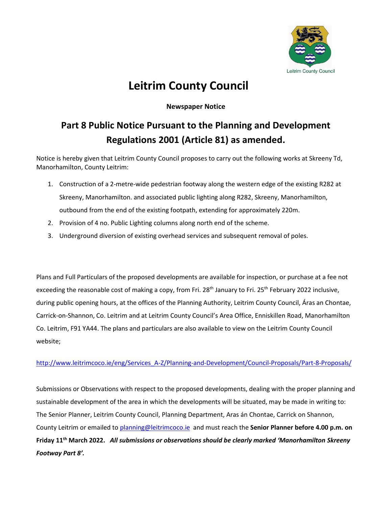

## **Leitrim County Council**

## **Newspaper Notice**

## **Part 8 Public Notice Pursuant to the Planning and Development Regulations 2001 (Article 81) as amended.**

Notice is hereby given that Leitrim County Council proposes to carry out the following works at Skreeny Td, Manorhamilton, County Leitrim:

- 1. Construction of a 2-metre-wide pedestrian footway along the western edge of the existing R282 at Skreeny, Manorhamilton. and associated public lighting along R282, Skreeny, Manorhamilton, outbound from the end of the existing footpath, extending for approximately 220m.
- 2. Provision of 4 no. Public Lighting columns along north end of the scheme.
- 3. Underground diversion of existing overhead services and subsequent removal of poles.

Plans and Full Particulars of the proposed developments are available for inspection, or purchase at a fee not exceeding the reasonable cost of making a copy, from Fri. 28<sup>th</sup> January to Fri. 25<sup>th</sup> February 2022 inclusive, during public opening hours, at the offices of the Planning Authority, Leitrim County Council, Áras an Chontae, Carrick-on-Shannon, Co. Leitrim and at Leitrim County Council's Area Office, Enniskillen Road, Manorhamilton Co. Leitrim, F91 YA44. The plans and particulars are also available to view on the Leitrim County Council website;

## [http://www.leitrimcoco.ie/eng/Services\\_A-Z/Planning-and-Development/Council-Proposals/Part-8-Proposals/](http://www.leitrimcoco.ie/eng/Services_A-Z/Planning-and-Development/Council-Proposals/Part-8-Proposals/)

Submissions or Observations with respect to the proposed developments, dealing with the proper planning and sustainable development of the area in which the developments will be situated, may be made in writing to: The Senior Planner, Leitrim County Council, Planning Department, Aras án Chontae, Carrick on Shannon, County Leitrim or emailed to [planning@leitrimcoco.ie](mailto:planning@leitrimcoco.ie) and must reach the **Senior Planner before 4.00 p.m. on Friday 11th March 2022.** *All submissions or observations should be clearly marked 'Manorhamilton Skreeny Footway Part 8'.*